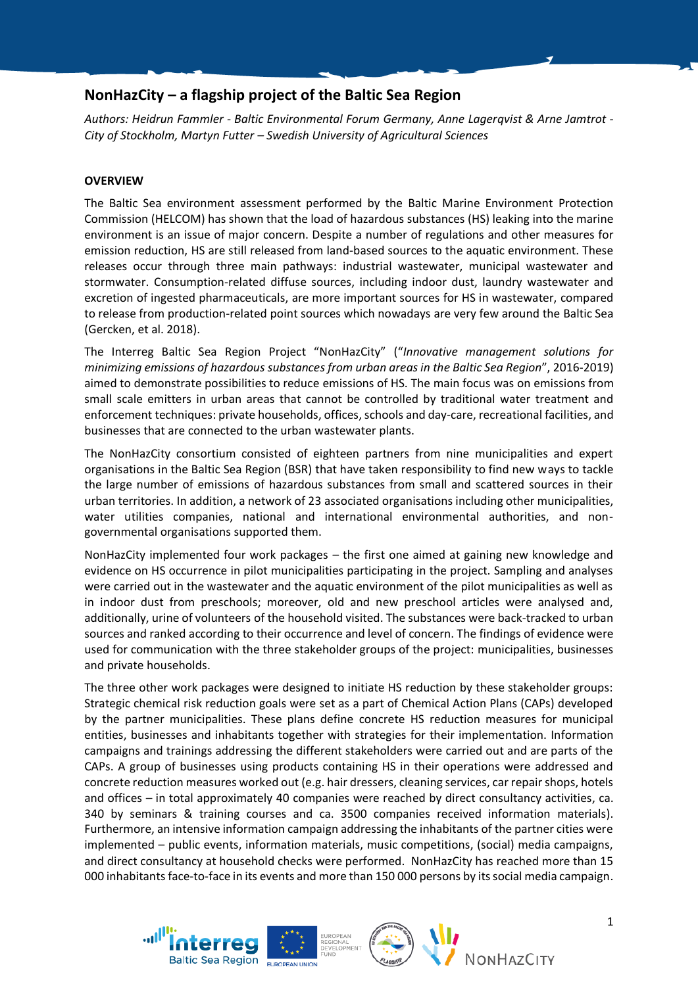# **NonHazCity – a flagship project of the Baltic Sea Region**

*Authors: Heidrun Fammler - Baltic Environmental Forum Germany, Anne Lagerqvist & Arne Jamtrot - City of Stockholm, Martyn Futter – Swedish University of Agricultural Sciences*

# **OVERVIEW**

The Baltic Sea environment assessment performed by the Baltic Marine Environment Protection Commission (HELCOM) has shown that the load of hazardous substances (HS) leaking into the marine environment is an issue of major concern. Despite a number of regulations and other measures for emission reduction, HS are still released from land-based sources to the aquatic environment. These releases occur through three main pathways: industrial wastewater, municipal wastewater and stormwater. Consumption-related diffuse sources, including indoor dust, laundry wastewater and excretion of ingested pharmaceuticals, are more important sources for HS in wastewater, compared to release from production-related point sources which nowadays are very few around the Baltic Sea (Gercken, et al. 2018).

The Interreg Baltic Sea Region Project "NonHazCity" ("*Innovative management solutions for minimizing emissions of hazardous substances from urban areas in the Baltic Sea Region*", 2016-2019) aimed to demonstrate possibilities to reduce emissions of HS. The main focus was on emissions from small scale emitters in urban areas that cannot be controlled by traditional water treatment and enforcement techniques: private households, offices, schools and day-care, recreational facilities, and businesses that are connected to the urban wastewater plants.

The NonHazCity consortium consisted of eighteen partners from nine municipalities and expert organisations in the Baltic Sea Region (BSR) that have taken responsibility to find new ways to tackle the large number of emissions of hazardous substances from small and scattered sources in their urban territories. In addition, a network of 23 associated organisations including other municipalities, water utilities companies, national and international environmental authorities, and nongovernmental organisations supported them.

NonHazCity implemented four work packages – the first one aimed at gaining new knowledge and evidence on HS occurrence in pilot municipalities participating in the project. Sampling and analyses were carried out in the wastewater and the aquatic environment of the pilot municipalities as well as in indoor dust from preschools; moreover, old and new preschool articles were analysed and, additionally, urine of volunteers of the household visited. The substances were back-tracked to urban sources and ranked according to their occurrence and level of concern. The findings of evidence were used for communication with the three stakeholder groups of the project: municipalities, businesses and private households.

The three other work packages were designed to initiate HS reduction by these stakeholder groups: Strategic chemical risk reduction goals were set as a part of Chemical Action Plans (CAPs) developed by the partner municipalities. These plans define concrete HS reduction measures for municipal entities, businesses and inhabitants together with strategies for their implementation. Information campaigns and trainings addressing the different stakeholders were carried out and are parts of the CAPs. A group of businesses using products containing HS in their operations were addressed and concrete reduction measures worked out (e.g. hair dressers, cleaning services, car repair shops, hotels and offices – in total approximately 40 companies were reached by direct consultancy activities, ca. 340 by seminars & training courses and ca. 3500 companies received information materials). Furthermore, an intensive information campaign addressing the inhabitants of the partner cities were implemented – public events, information materials, music competitions, (social) media campaigns, and direct consultancy at household checks were performed. NonHazCity has reached more than 15 000 inhabitants face-to-face in its events and more than 150 000 persons by its social media campaign.





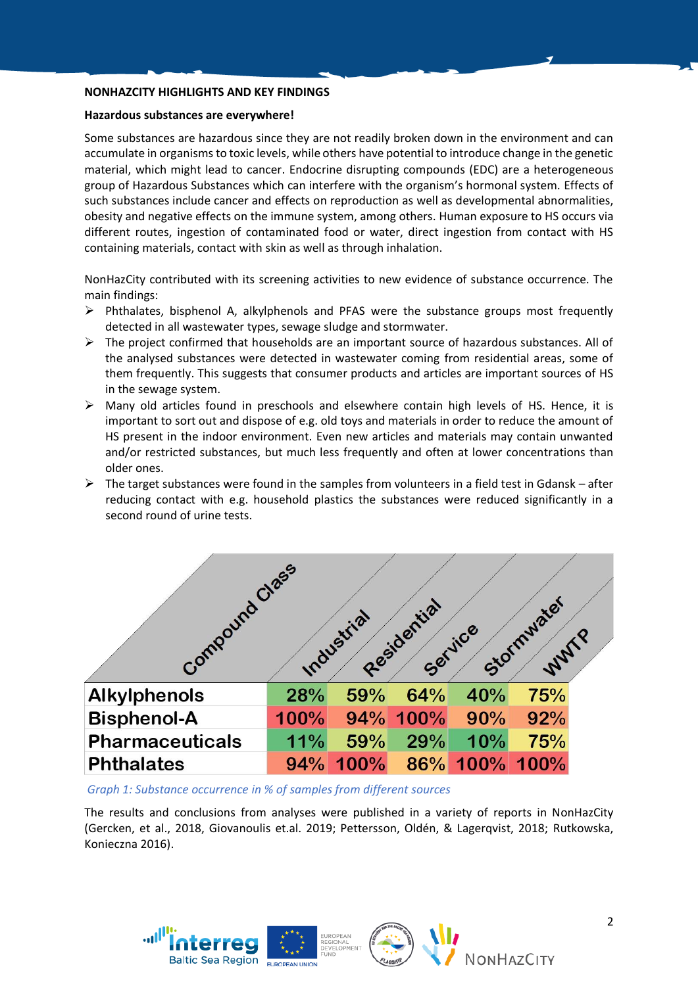# **NONHAZCITY HIGHLIGHTS AND KEY FINDINGS**

#### **Hazardous substances are everywhere!**

Some substances are hazardous since they are not readily broken down in the environment and can accumulate in organisms to toxic levels, while others have potential to introduce change in the genetic material, which might lead to cancer. Endocrine disrupting compounds (EDC) are a heterogeneous group of Hazardous Substances which can interfere with the organism's hormonal system. Effects of such substances include cancer and effects on reproduction as well as developmental abnormalities, obesity and negative effects on the immune system, among others. Human exposure to HS occurs via different routes, ingestion of contaminated food or water, direct ingestion from contact with HS containing materials, contact with skin as well as through inhalation.

NonHazCity contributed with its screening activities to new evidence of substance occurrence. The main findings:

- $\triangleright$  Phthalates, bisphenol A, alkylphenols and PFAS were the substance groups most frequently detected in all wastewater types, sewage sludge and stormwater.
- $\triangleright$  The project confirmed that households are an important source of hazardous substances. All of the analysed substances were detected in wastewater coming from residential areas, some of them frequently. This suggests that consumer products and articles are important sources of HS in the sewage system.
- ➢ Many old articles found in preschools and elsewhere contain high levels of HS. Hence, it is important to sort out and dispose of e.g. old toys and materials in order to reduce the amount of HS present in the indoor environment. Even new articles and materials may contain unwanted and/or restricted substances, but much less frequently and often at lower concentrations than older ones.
- $\triangleright$  The target substances were found in the samples from volunteers in a field test in Gdansk after reducing contact with e.g. household plastics the substances were reduced significantly in a second round of urine tests.



*Graph 1: Substance occurrence in % of samples from different sources*

The results and conclusions from analyses were published in a variety of reports in NonHazCity (Gercken, et al., 2018, Giovanoulis et.al. 2019; Pettersson, Oldén, & Lagerqvist, 2018; Rutkowska, Konieczna 2016).





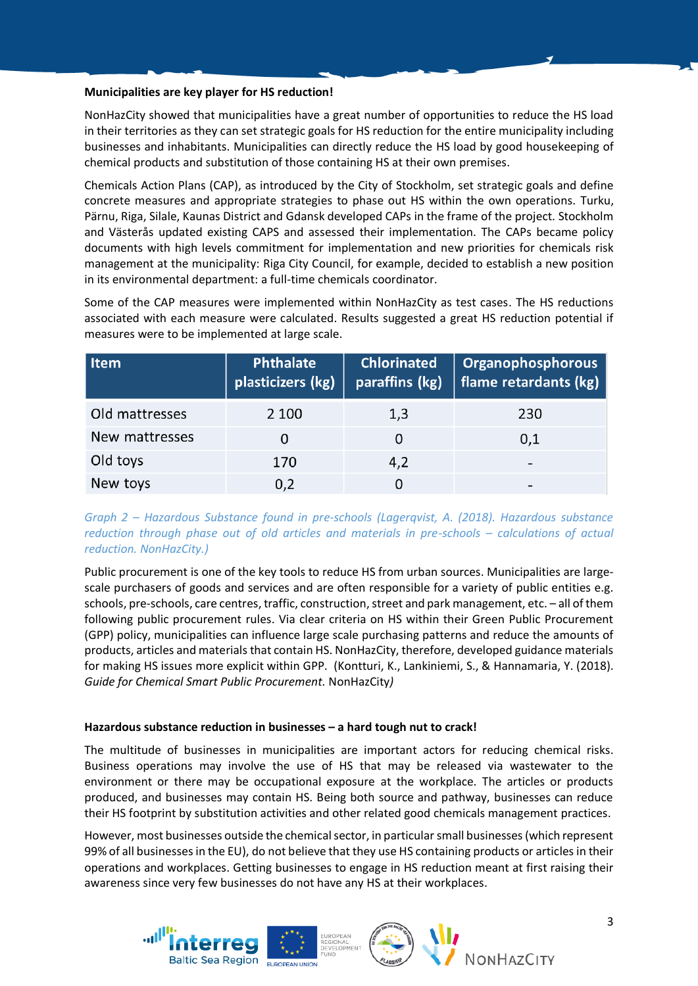# **Municipalities are key player for HS reduction!**

NonHazCity showed that municipalities have a great number of opportunities to reduce the HS load in their territories as they can set strategic goals for HS reduction for the entire municipality including businesses and inhabitants. Municipalities can directly reduce the HS load by good housekeeping of chemical products and substitution of those containing HS at their own premises.

Chemicals Action Plans (CAP), as introduced by the City of Stockholm, set strategic goals and define concrete measures and appropriate strategies to phase out HS within the own operations. Turku, Pärnu, Riga, Silale, Kaunas District and Gdansk developed CAPs in the frame of the project. Stockholm and Västerås updated existing CAPS and assessed their implementation. The CAPs became policy documents with high levels commitment for implementation and new priorities for chemicals risk management at the municipality: Riga City Council, for example, decided to establish a new position in its environmental department: a full-time chemicals coordinator.

Some of the CAP measures were implemented within NonHazCity as test cases. The HS reductions associated with each measure were calculated. Results suggested a great HS reduction potential if measures were to be implemented at large scale.

| Item           | <b>Phthalate</b><br>plasticizers (kg) | <b>Chlorinated</b><br>paraffins (kg) | Organophosphorous<br>$\parallel$ flame retardants (kg) |
|----------------|---------------------------------------|--------------------------------------|--------------------------------------------------------|
| Old mattresses | 2 100                                 | 1,3                                  | 230                                                    |
| New mattresses | O                                     |                                      | 0,1                                                    |
| Old toys       | 170                                   | 4,2                                  | $\overline{\phantom{0}}$                               |
| New toys       | 0,2                                   |                                      | $\overline{\phantom{0}}$                               |

# *Graph 2 – Hazardous Substance found in pre-schools (Lagerqvist, A. (2018). Hazardous substance reduction through phase out of old articles and materials in pre-schools – calculations of actual reduction. NonHazCity.)*

Public procurement is one of the key tools to reduce HS from urban sources. Municipalities are largescale purchasers of goods and services and are often responsible for a variety of public entities e.g. schools, pre-schools, care centres, traffic, construction, street and park management, etc. - all of them following public procurement rules. Via clear criteria on HS within their Green Public Procurement (GPP) policy, municipalities can influence large scale purchasing patterns and reduce the amounts of products, articles and materials that contain HS. NonHazCity, therefore, developed guidance materials for making HS issues more explicit within GPP. (Kontturi, K., Lankiniemi, S., & Hannamaria, Y. (2018). *Guide for Chemical Smart Public Procurement.* NonHazCity*)*

# **Hazardous substance reduction in businesses – a hard tough nut to crack!**

The multitude of businesses in municipalities are important actors for reducing chemical risks. Business operations may involve the use of HS that may be released via wastewater to the environment or there may be occupational exposure at the workplace. The articles or products produced, and businesses may contain HS. Being both source and pathway, businesses can reduce their HS footprint by substitution activities and other related good chemicals management practices.

However, most businesses outside the chemical sector, in particular small businesses(which represent 99% of all businesses in the EU), do not believe that they use HS containing products or articles in their operations and workplaces. Getting businesses to engage in HS reduction meant at first raising their awareness since very few businesses do not have any HS at their workplaces.





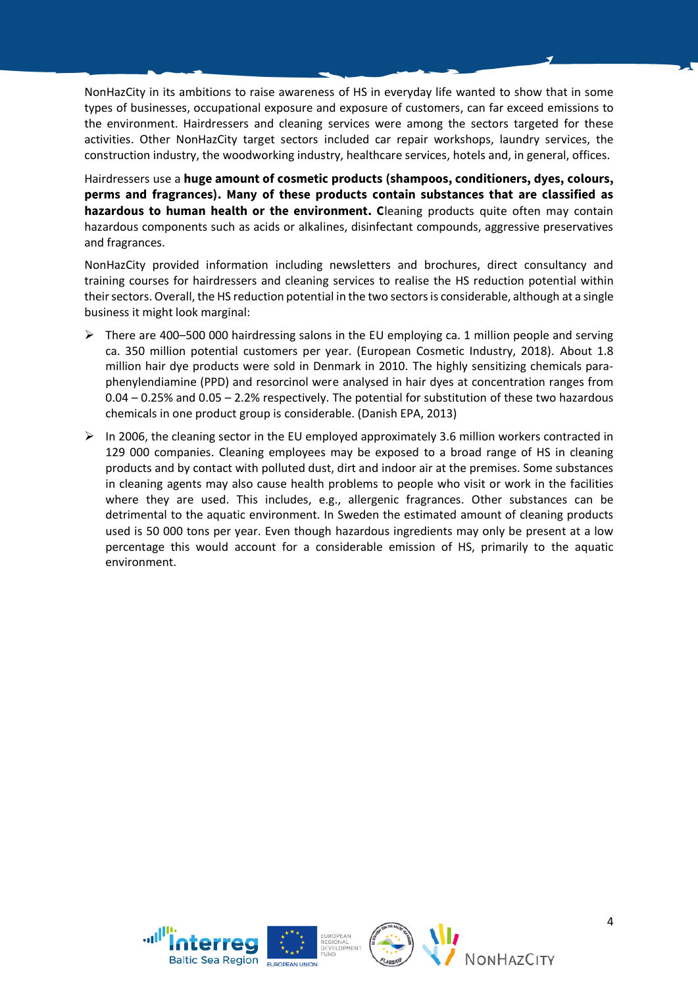NonHazCity in its ambitions to raise awareness of HS in everyday life wanted to show that in some types of businesses, occupational exposure and exposure of customers, can far exceed emissions to the environment. Hairdressers and cleaning services were among the sectors targeted for these activities. Other NonHazCity target sectors included car repair workshops, laundry services, the construction industry, the woodworking industry, healthcare services, hotels and, in general, offices.

Hairdressers use a **huge amount of cosmetic products (shampoos, conditioners, dyes, colours, perms and fragrances). Many of these products contain substances that are classified as hazardous to human health or the environment. C**leaning products quite often may contain hazardous components such as acids or alkalines, disinfectant compounds, aggressive preservatives and fragrances.

NonHazCity provided information including newsletters and brochures, direct consultancy and training courses for hairdressers and cleaning services to realise the HS reduction potential within their sectors. Overall, the HS reduction potential in the two sectorsis considerable, although at a single business it might look marginal:

- $\triangleright$  There are 400–500 000 hairdressing salons in the EU employing ca. 1 million people and serving ca. 350 million potential customers per year. (European Cosmetic Industry, 2018). About 1.8 million hair dye products were sold in Denmark in 2010. The highly sensitizing chemicals paraphenylendiamine (PPD) and resorcinol were analysed in hair dyes at concentration ranges from 0.04 – 0.25% and 0.05 – 2.2% respectively. The potential for substitution of these two hazardous chemicals in one product group is considerable. (Danish EPA, 2013)
- $\triangleright$  In 2006, the cleaning sector in the EU employed approximately 3.6 million workers contracted in 129 000 companies. Cleaning employees may be exposed to a broad range of HS in cleaning products and by contact with polluted dust, dirt and indoor air at the premises. Some substances in cleaning agents may also cause health problems to people who visit or work in the facilities where they are used. This includes, e.g., allergenic fragrances. Other substances can be detrimental to the aquatic environment. In Sweden the estimated amount of cleaning products used is 50 000 tons per year. Even though hazardous ingredients may only be present at a low percentage this would account for a considerable emission of HS, primarily to the aquatic environment.



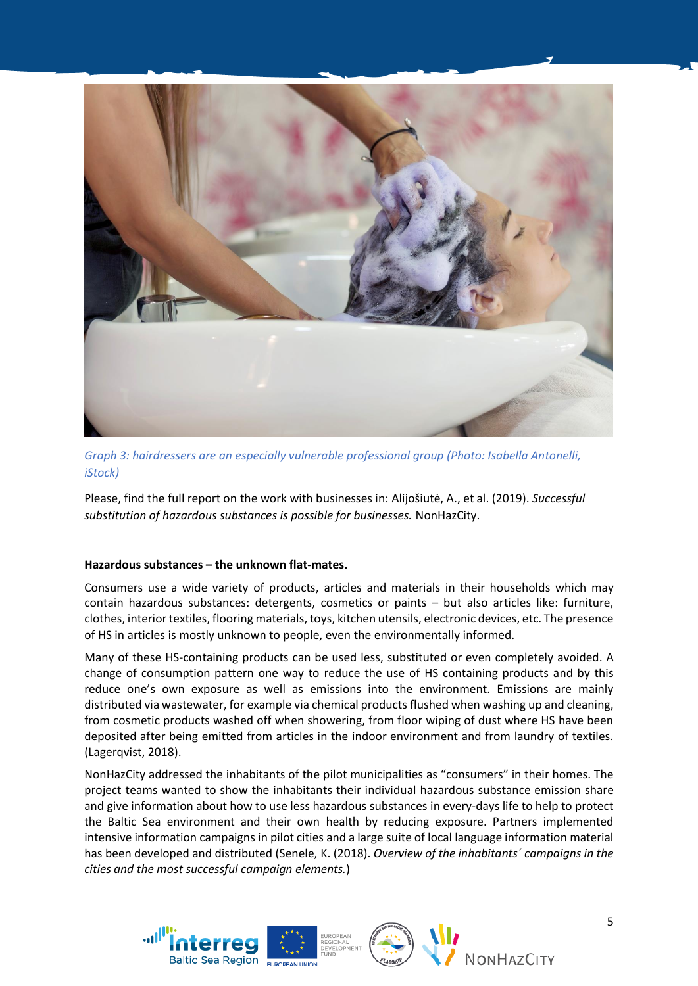

*Graph 3: hairdressers are an especially vulnerable professional group (Photo: Isabella Antonelli, iStock)*

Please, find the full report on the work with businesses in: Alijošiutė, A., et al. (2019). *Successful substitution of hazardous substances is possible for businesses.* NonHazCity.

# **Hazardous substances – the unknown flat-mates.**

Consumers use a wide variety of products, articles and materials in their households which may contain hazardous substances: detergents, cosmetics or paints – but also articles like: furniture, clothes, interior textiles, flooring materials, toys, kitchen utensils, electronic devices, etc. The presence of HS in articles is mostly unknown to people, even the environmentally informed.

Many of these HS-containing products can be used less, substituted or even completely avoided. A change of consumption pattern one way to reduce the use of HS containing products and by this reduce one's own exposure as well as emissions into the environment. Emissions are mainly distributed via wastewater, for example via chemical products flushed when washing up and cleaning, from cosmetic products washed off when showering, from floor wiping of dust where HS have been deposited after being emitted from articles in the indoor environment and from laundry of textiles. (Lagerqvist, 2018).

NonHazCity addressed the inhabitants of the pilot municipalities as "consumers" in their homes. The project teams wanted to show the inhabitants their individual hazardous substance emission share and give information about how to use less hazardous substances in every-days life to help to protect the Baltic Sea environment and their own health by reducing exposure. Partners implemented intensive information campaigns in pilot cities and a large suite of local language information material has been developed and distributed (Senele, K. (2018). *Overview of the inhabitants´ campaigns in the cities and the most successful campaign elements.*)





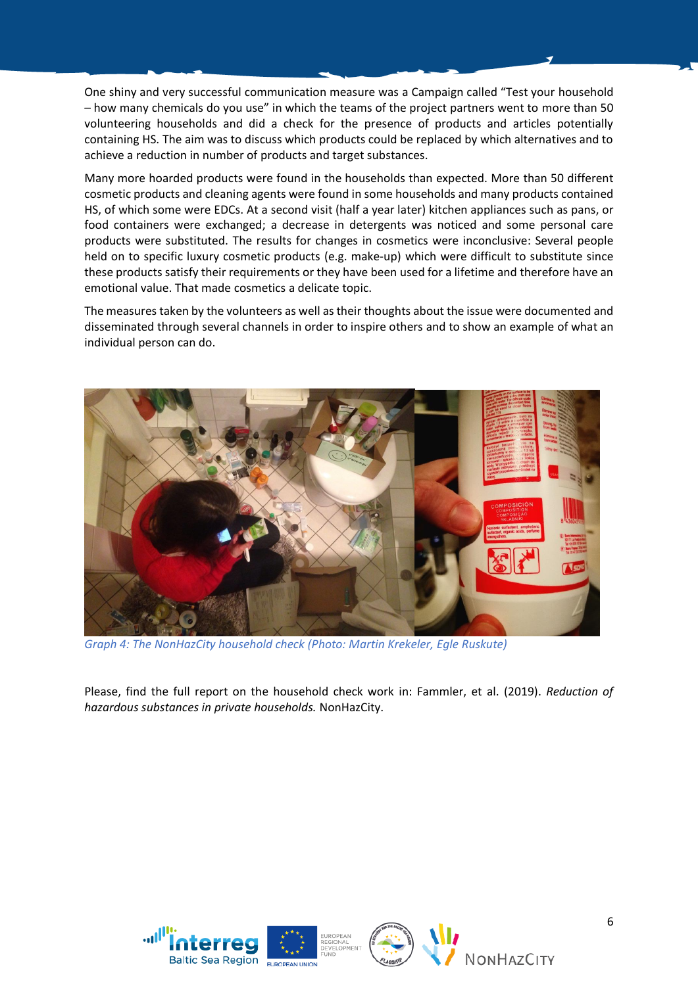One shiny and very successful communication measure was a Campaign called "Test your household – how many chemicals do you use" in which the teams of the project partners went to more than 50 volunteering households and did a check for the presence of products and articles potentially containing HS. The aim was to discuss which products could be replaced by which alternatives and to achieve a reduction in number of products and target substances.

Many more hoarded products were found in the households than expected. More than 50 different cosmetic products and cleaning agents were found in some households and many products contained HS, of which some were EDCs. At a second visit (half a year later) kitchen appliances such as pans, or food containers were exchanged; a decrease in detergents was noticed and some personal care products were substituted. The results for changes in cosmetics were inconclusive: Several people held on to specific luxury cosmetic products (e.g. make-up) which were difficult to substitute since these products satisfy their requirements or they have been used for a lifetime and therefore have an emotional value. That made cosmetics a delicate topic.

The measures taken by the volunteers as well as their thoughts about the issue were documented and disseminated through several channels in order to inspire others and to show an example of what an individual person can do.



*Graph 4: The NonHazCity household check (Photo: Martin Krekeler, Egle Ruskute)*

Please, find the full report on the household check work in: Fammler, et al. (2019). *Reduction of hazardous substances in private households.* NonHazCity.